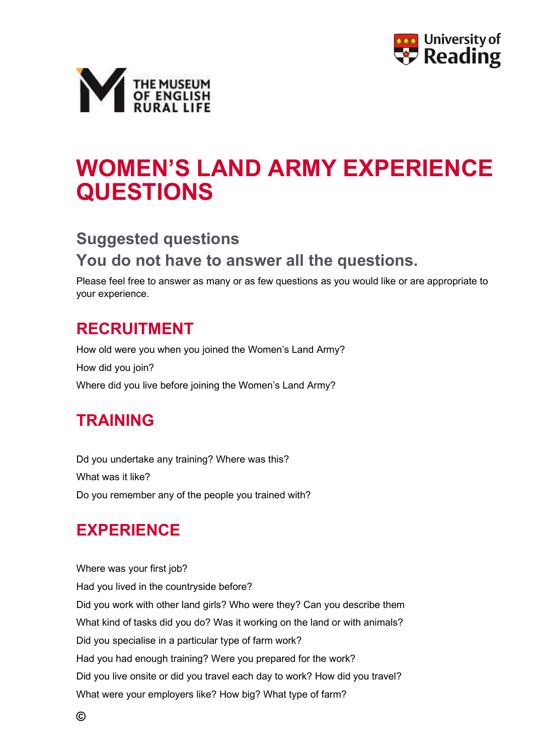



# WOMEN'S LAND ARMY EXPERIENCE QUESTIONS

# Suggested questions You do not have to answer all the questions.

Please feel free to answer as many or as few questions as you would like or are appropriate to your experience.

### RECRUITMENT

How old were you when you joined the Women's Land Army? How did you join? Where did you live before joining the Women's Land Army?

## TRAINING

Dd you undertake any training? Where was this? What was it like? Do you remember any of the people you trained with?

## EXPERIENCE

Where was your first job? Had you lived in the countryside before? Did you work with other land girls? Who were they? Can you describe them What kind of tasks did you do? Was it working on the land or with animals? Did you specialise in a particular type of farm work? Had you had enough training? Were you prepared for the work? Did you live onsite or did you travel each day to work? How did you travel? What were your employers like? How big? What type of farm?